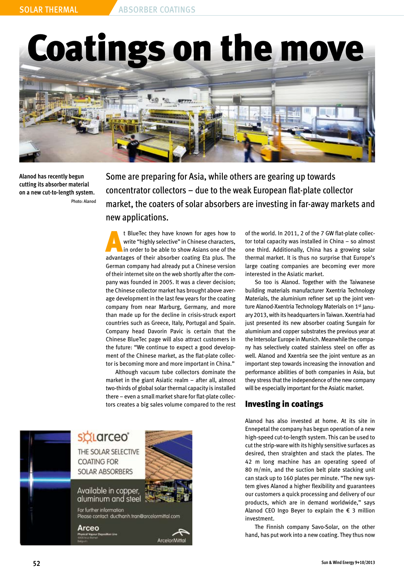# Coatings on the move



**Alanod has recently begun cutting its absorber material on a new cut-to-length system.**  Photo: Alanod Some are preparing for Asia, while others are gearing up towards concentrator collectors – due to the weak European flat-plate collector market, the coaters of solar absorbers are investing in far-away markets and new applications.

t BlueTec they have known for ages how to<br>write "highly selective" in Chinese characters,<br>in order to be able to show Asians one of the<br>educations of their characters assigns The plus. The write "highly selective" in Chinese characters, in order to be able to show Asians one of the advantages of their absorber coating Eta plus. The German company had already put a Chinese version of their internet site on the web shortly after the company was founded in 2005. It was a clever decision; the Chinese collector market has brought above average development in the last few years for the coating company from near Marburg, Germany, and more than made up for the decline in crisis-struck export countries such as Greece, Italy, Portugal and Spain. Company head Davorin Pavic is certain that the Chinese BlueTec page will also attract customers in the future: "We continue to expect a good development of the Chinese market, as the flat-plate collector is becoming more and more important in China."

Although vacuum tube collectors dominate the market in the giant Asiatic realm – after all, almost two-thirds of global solar thermal capacity is installed there – even a small market share for flat-plate collectors creates a big sales volume compared to the rest



of the world. In 2011, 2 of the 7 GW flat-plate collector total capacity was installed in China – so almost one third. Additionally, China has a growing solar thermal market. It is thus no surprise that Europe's large coating companies are becoming ever more interested in the Asiatic market.

So too is Alanod. Together with the Taiwanese building materials manufacturer Xxentria Technology Materials, the aluminium refiner set up the joint venture Alanod-Xxentria Technology Materials on 1<sup>st</sup> January 2013, with its headquarters in Taiwan. Xxentria had just presented its new absorber coating Sungain for aluminium and copper substrates the previous year at the Intersolar Europe in Munich. Meanwhile the company has selectively coated stainless steel on offer as well. Alanod and Xxentria see the joint venture as an important step towards increasing the innovation and performance abilities of both companies in Asia, but they stress that the independence of the new company will be especially important for the Asiatic market.

### Investing in coatings

Alanod has also invested at home. At its site in Ennepetal the company has begun operation of a new high-speed cut-to-length system. This can be used to cut the strip-ware with its highly sensitive surfaces as desired, then straighten and stack the plates. The 42 m long machine has an operating speed of 80 m/min, and the suction belt plate stacking unit can stack up to 160 plates per minute. "The new system gives Alanod a higher flexibility and guarantees our customers a quick processing and delivery of our products, which are in demand worldwide," says Alanod CEO Ingo Beyer to explain the  $\epsilon$  3 million investment.

The Finnish company Savo-Solar, on the other hand, has put work into a new coating. They thus now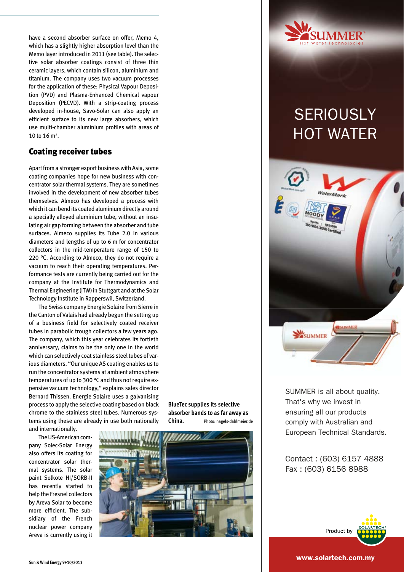have a second absorber surface on offer, Memo 4, which has a slightly higher absorption level than the Memo layer introduced in 2011 (see table). The selective solar absorber coatings consist of three thin ceramic layers, which contain silicon, aluminium and titanium. The company uses two vacuum processes for the application of these: Physical Vapour Deposition (PVD) and Plasma-Enhanced Chemical vapour Deposition (PECVD). With a strip-coating process developed in-house, Savo-Solar can also apply an efficient surface to its new large absorbers, which use multi-chamber aluminium profiles with areas of 10 to 16 m².

#### Coating receiver tubes

Apart from a stronger export business with Asia, some coating companies hope for new business with concentrator solar thermal systems. They are sometimes involved in the development of new absorber tubes themselves. Almeco has developed a process with which it can bend its coated aluminium directly around a specially alloyed aluminium tube, without an insulating air gap forming between the absorber and tube surfaces. Almeco supplies its Tube 2.0 in various diameters and lengths of up to 6 m for concentrator collectors in the mid-temperature range of 150 to 220 °C. According to Almeco, they do not require a vacuum to reach their operating temperatures. Performance tests are currently being carried out for the company at the Institute for Thermodynamics and Thermal Engineering (ITW) in Stuttgart and at the Solar Technology Institute in Rapperswil, Switzerland.

The Swiss company Energie Solaire from Sierre in the Canton of Valais had already begun the setting up of a business field for selectively coated receiver tubes in parabolic trough collectors a few years ago. The company, which this year celebrates its fortieth anniversary, claims to be the only one in the world which can selectively coat stainless steel tubes of various diameters. "Our unique AS coating enables us to run the concentrator systems at ambient atmosphere temperatures of up to 300 °C and thus not require expensive vacuum technology," explains sales director Bernard Thissen. Energie Solaire uses a galvanising process to apply the selective coating based on black chrome to the stainless steel tubes. Numerous systems using these are already in use both nationally and internationally.

The US-American company Solec-Solar Energy also offers its coating for concentrator solar thermal systems. The solar paint Solkote HI/SORB-II has recently started to help the Fresnel collectors by Areva Solar to become more efficient. The subsidiary of the French nuclear power company Areva is currently using it



**BlueTec supplies its selective absorber bands to as far away as China.** Photo: nagels-dahlmeier.de



## **SERIOUSLY** [HOT WATER](http://www.solartech.com.my)



SUMMER is all about quality. That's why we invest in ensuring all our products comply with Australian and European Technical Standards.

Contact : (603) 6157 4888 Fax : (603) 6156 8988